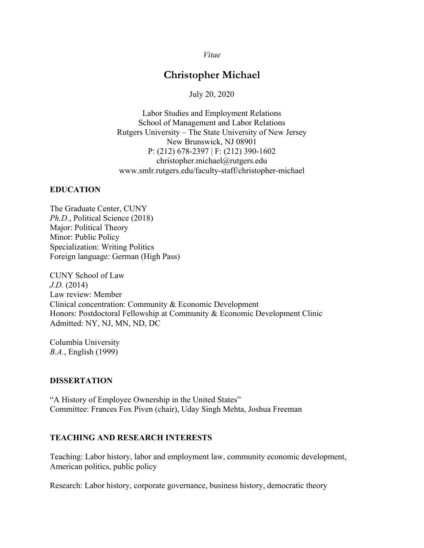*Vitae*

# **Christopher Michael**

July 20, 2020

Labor Studies and Employment Relations School of Management and Labor Relations Rutgers University – The State University of New Jersey New Brunswick, NJ 08901 P: (212) 678-2397 | F: (212) 390-1602 christopher.michael@rutgers.edu www.smlr.rutgers.edu/faculty-staff/christopher-michael

#### **EDUCATION**

The Graduate Center, CUNY *Ph.D.*, Political Science (2018) Major: Political Theory Minor: Public Policy Specialization: Writing Politics Foreign language: German (High Pass)

CUNY School of Law *J.D.* (2014) Law review: Member Clinical concentration: Community & Economic Development Honors: Postdoctoral Fellowship at Community & Economic Development Clinic Admitted: NY, NJ, MN, ND, DC

Columbia University *B.A.*, English (1999)

#### **DISSERTATION**

"A History of Employee Ownership in the United States" Committee: Frances Fox Piven (chair), Uday Singh Mehta, Joshua Freeman

#### **TEACHING AND RESEARCH INTERESTS**

Teaching: Labor history, labor and employment law, community economic development, American politics, public policy

Research: Labor history, corporate governance, business history, democratic theory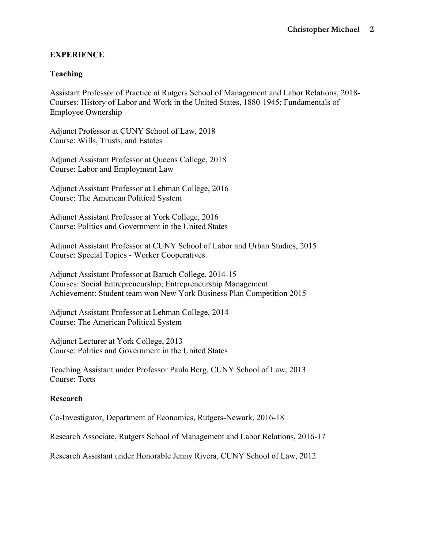## **EXPERIENCE**

### **Teaching**

Assistant Professor of Practice at Rutgers School of Management and Labor Relations, 2018- Courses: History of Labor and Work in the United States, 1880-1945; Fundamentals of Employee Ownership

Adjunct Professor at CUNY School of Law, 2018 Course: Wills, Trusts, and Estates

Adjunct Assistant Professor at Queens College, 2018 Course: Labor and Employment Law

Adjunct Assistant Professor at Lehman College, 2016 Course: The American Political System

Adjunct Assistant Professor at York College, 2016 Course: Politics and Government in the United States

Adjunct Assistant Professor at CUNY School of Labor and Urban Studies, 2015 Course: Special Topics - Worker Cooperatives

Adjunct Assistant Professor at Baruch College, 2014-15 Courses: Social Entrepreneurship; Entrepreneurship Management Achievement: Student team won New York Business Plan Competition 2015

Adjunct Assistant Professor at Lehman College, 2014 Course: The American Political System

Adjunct Lecturer at York College, 2013 Course: Politics and Government in the United States

Teaching Assistant under Professor Paula Berg, CUNY School of Law, 2013 Course: Torts

### **Research**

Co-Investigator, Department of Economics, Rutgers-Newark, 2016-18

Research Associate, Rutgers School of Management and Labor Relations, 2016-17

Research Assistant under Honorable Jenny Rivera, CUNY School of Law, 2012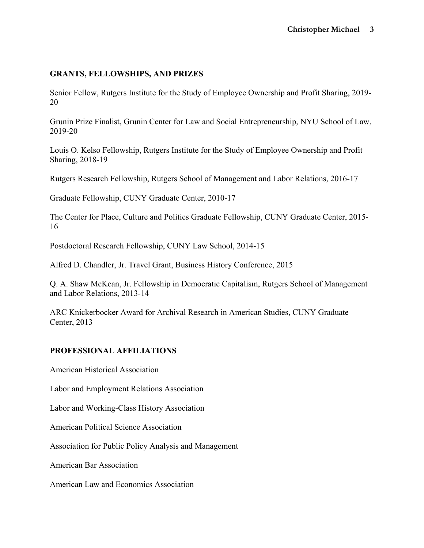#### **GRANTS, FELLOWSHIPS, AND PRIZES**

Senior Fellow, Rutgers Institute for the Study of Employee Ownership and Profit Sharing, 2019- 20

Grunin Prize Finalist, Grunin Center for Law and Social Entrepreneurship, NYU School of Law, 2019-20

Louis O. Kelso Fellowship, Rutgers Institute for the Study of Employee Ownership and Profit Sharing, 2018-19

Rutgers Research Fellowship, Rutgers School of Management and Labor Relations, 2016-17

Graduate Fellowship, CUNY Graduate Center, 2010-17

The Center for Place, Culture and Politics Graduate Fellowship, CUNY Graduate Center, 2015- 16

Postdoctoral Research Fellowship, CUNY Law School, 2014-15

Alfred D. Chandler, Jr. Travel Grant, Business History Conference, 2015

Q. A. Shaw McKean, Jr. Fellowship in Democratic Capitalism, Rutgers School of Management and Labor Relations, 2013-14

ARC Knickerbocker Award for Archival Research in American Studies, CUNY Graduate Center, 2013

### **PROFESSIONAL AFFILIATIONS**

American Historical Association

Labor and Employment Relations Association

Labor and Working-Class History Association

American Political Science Association

Association for Public Policy Analysis and Management

American Bar Association

American Law and Economics Association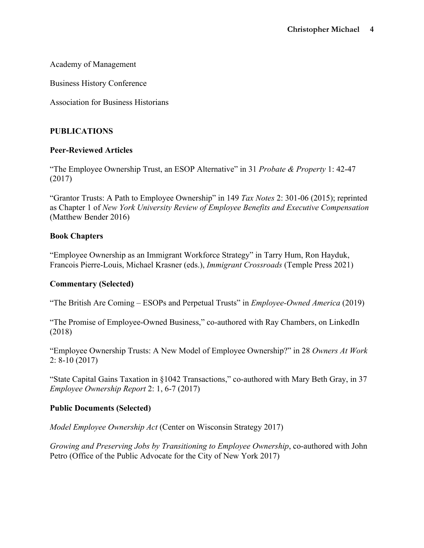Academy of Management

Business History Conference

Association for Business Historians

### **PUBLICATIONS**

### **Peer-Reviewed Articles**

"The Employee Ownership Trust, an ESOP Alternative" in 31 *Probate & Property* 1: 42-47 (2017)

"Grantor Trusts: A Path to Employee Ownership" in 149 *Tax Notes* 2: 301-06 (2015); reprinted as Chapter 1 of *New York University Review of Employee Benefits and Executive Compensation* (Matthew Bender 2016)

### **Book Chapters**

"Employee Ownership as an Immigrant Workforce Strategy" in Tarry Hum, Ron Hayduk, Francois Pierre-Louis, Michael Krasner (eds.), *Immigrant Crossroads* (Temple Press 2021)

### **Commentary (Selected)**

"The British Are Coming – ESOPs and Perpetual Trusts" in *Employee-Owned America* (2019)

"The Promise of Employee-Owned Business," co-authored with Ray Chambers, on LinkedIn (2018)

"Employee Ownership Trusts: A New Model of Employee Ownership?" in 28 *Owners At Work* 2: 8-10 (2017)

"State Capital Gains Taxation in §1042 Transactions," co-authored with Mary Beth Gray, in 37 *Employee Ownership Report* 2: 1, 6-7 (2017)

### **Public Documents (Selected)**

*Model Employee Ownership Act* (Center on Wisconsin Strategy 2017)

*Growing and Preserving Jobs by Transitioning to Employee Ownership*, co-authored with John Petro (Office of the Public Advocate for the City of New York 2017)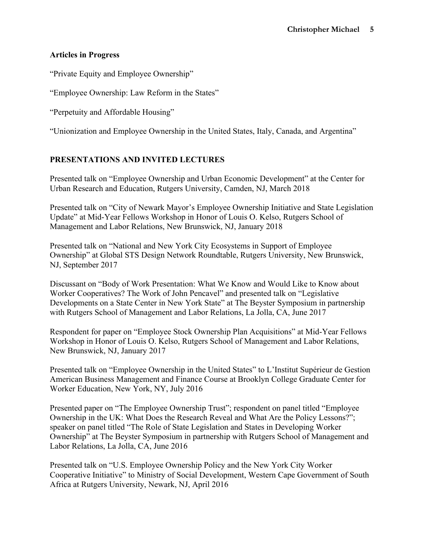## **Articles in Progress**

"Private Equity and Employee Ownership"

"Employee Ownership: Law Reform in the States"

"Perpetuity and Affordable Housing"

"Unionization and Employee Ownership in the United States, Italy, Canada, and Argentina"

# **PRESENTATIONS AND INVITED LECTURES**

Presented talk on "Employee Ownership and Urban Economic Development" at the Center for Urban Research and Education, Rutgers University, Camden, NJ, March 2018

Presented talk on "City of Newark Mayor's Employee Ownership Initiative and State Legislation Update" at Mid-Year Fellows Workshop in Honor of Louis O. Kelso, Rutgers School of Management and Labor Relations, New Brunswick, NJ, January 2018

Presented talk on "National and New York City Ecosystems in Support of Employee Ownership" at Global STS Design Network Roundtable, Rutgers University, New Brunswick, NJ, September 2017

Discussant on "Body of Work Presentation: What We Know and Would Like to Know about Worker Cooperatives? The Work of John Pencavel" and presented talk on "Legislative Developments on a State Center in New York State" at The Beyster Symposium in partnership with Rutgers School of Management and Labor Relations, La Jolla, CA, June 2017

Respondent for paper on "Employee Stock Ownership Plan Acquisitions" at Mid-Year Fellows Workshop in Honor of Louis O. Kelso, Rutgers School of Management and Labor Relations, New Brunswick, NJ, January 2017

Presented talk on "Employee Ownership in the United States" to L'Institut Supérieur de Gestion American Business Management and Finance Course at Brooklyn College Graduate Center for Worker Education, New York, NY, July 2016

Presented paper on "The Employee Ownership Trust"; respondent on panel titled "Employee Ownership in the UK: What Does the Research Reveal and What Are the Policy Lessons?"; speaker on panel titled "The Role of State Legislation and States in Developing Worker Ownership" at The Beyster Symposium in partnership with Rutgers School of Management and Labor Relations, La Jolla, CA, June 2016

Presented talk on "U.S. Employee Ownership Policy and the New York City Worker Cooperative Initiative" to Ministry of Social Development, Western Cape Government of South Africa at Rutgers University, Newark, NJ, April 2016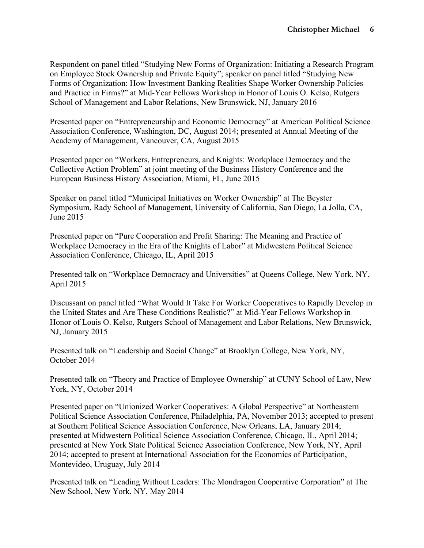Respondent on panel titled "Studying New Forms of Organization: Initiating a Research Program on Employee Stock Ownership and Private Equity"; speaker on panel titled "Studying New Forms of Organization: How Investment Banking Realities Shape Worker Ownership Policies and Practice in Firms?" at Mid-Year Fellows Workshop in Honor of Louis O. Kelso, Rutgers School of Management and Labor Relations, New Brunswick, NJ, January 2016

Presented paper on "Entrepreneurship and Economic Democracy" at American Political Science Association Conference, Washington, DC, August 2014; presented at Annual Meeting of the Academy of Management, Vancouver, CA, August 2015

Presented paper on "Workers, Entrepreneurs, and Knights: Workplace Democracy and the Collective Action Problem" at joint meeting of the Business History Conference and the European Business History Association, Miami, FL, June 2015

Speaker on panel titled "Municipal Initiatives on Worker Ownership" at The Beyster Symposium, Rady School of Management, University of California, San Diego, La Jolla, CA, June 2015

Presented paper on "Pure Cooperation and Profit Sharing: The Meaning and Practice of Workplace Democracy in the Era of the Knights of Labor" at Midwestern Political Science Association Conference, Chicago, IL, April 2015

Presented talk on "Workplace Democracy and Universities" at Queens College, New York, NY, April 2015

Discussant on panel titled "What Would It Take For Worker Cooperatives to Rapidly Develop in the United States and Are These Conditions Realistic?" at Mid-Year Fellows Workshop in Honor of Louis O. Kelso, Rutgers School of Management and Labor Relations, New Brunswick, NJ, January 2015

Presented talk on "Leadership and Social Change" at Brooklyn College, New York, NY, October 2014

Presented talk on "Theory and Practice of Employee Ownership" at CUNY School of Law, New York, NY, October 2014

Presented paper on "Unionized Worker Cooperatives: A Global Perspective" at Northeastern Political Science Association Conference, Philadelphia, PA, November 2013; accepted to present at Southern Political Science Association Conference, New Orleans, LA, January 2014; presented at Midwestern Political Science Association Conference, Chicago, IL, April 2014; presented at New York State Political Science Association Conference, New York, NY, April 2014; accepted to present at International Association for the Economics of Participation, Montevideo, Uruguay, July 2014

Presented talk on "Leading Without Leaders: The Mondragon Cooperative Corporation" at The New School, New York, NY, May 2014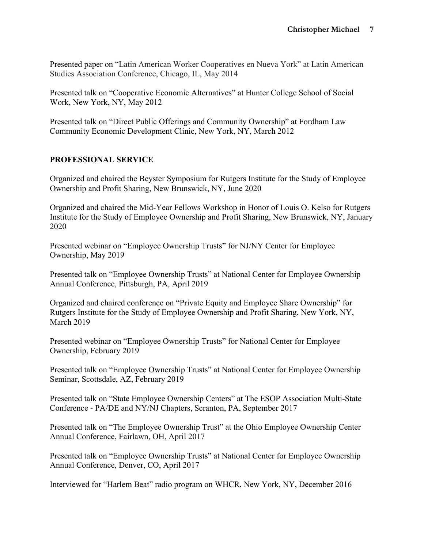Presented paper on "Latin American Worker Cooperatives en Nueva York" at Latin American Studies Association Conference, Chicago, IL, May 2014

Presented talk on "Cooperative Economic Alternatives" at Hunter College School of Social Work, New York, NY, May 2012

Presented talk on "Direct Public Offerings and Community Ownership" at Fordham Law Community Economic Development Clinic, New York, NY, March 2012

# **PROFESSIONAL SERVICE**

Organized and chaired the Beyster Symposium for Rutgers Institute for the Study of Employee Ownership and Profit Sharing, New Brunswick, NY, June 2020

Organized and chaired the Mid-Year Fellows Workshop in Honor of Louis O. Kelso for Rutgers Institute for the Study of Employee Ownership and Profit Sharing, New Brunswick, NY, January 2020

Presented webinar on "Employee Ownership Trusts" for NJ/NY Center for Employee Ownership, May 2019

Presented talk on "Employee Ownership Trusts" at National Center for Employee Ownership Annual Conference, Pittsburgh, PA, April 2019

Organized and chaired conference on "Private Equity and Employee Share Ownership" for Rutgers Institute for the Study of Employee Ownership and Profit Sharing, New York, NY, March 2019

Presented webinar on "Employee Ownership Trusts" for National Center for Employee Ownership, February 2019

Presented talk on "Employee Ownership Trusts" at National Center for Employee Ownership Seminar, Scottsdale, AZ, February 2019

Presented talk on "State Employee Ownership Centers" at The ESOP Association Multi-State Conference - PA/DE and NY/NJ Chapters, Scranton, PA, September 2017

Presented talk on "The Employee Ownership Trust" at the Ohio Employee Ownership Center Annual Conference, Fairlawn, OH, April 2017

Presented talk on "Employee Ownership Trusts" at National Center for Employee Ownership Annual Conference, Denver, CO, April 2017

Interviewed for "Harlem Beat" radio program on WHCR, New York, NY, December 2016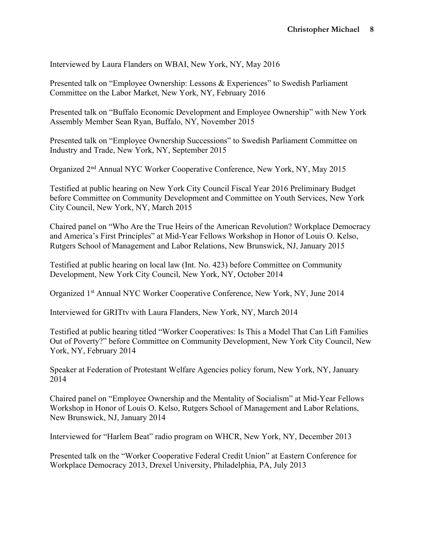Interviewed by Laura Flanders on WBAI, New York, NY, May 2016

Presented talk on "Employee Ownership: Lessons & Experiences" to Swedish Parliament Committee on the Labor Market, New York, NY, February 2016

Presented talk on "Buffalo Economic Development and Employee Ownership" with New York Assembly Member Sean Ryan, Buffalo, NY, November 2015

Presented talk on "Employee Ownership Successions" to Swedish Parliament Committee on Industry and Trade, New York, NY, September 2015

Organized 2nd Annual NYC Worker Cooperative Conference, New York, NY, May 2015

Testified at public hearing on New York City Council Fiscal Year 2016 Preliminary Budget before Committee on Community Development and Committee on Youth Services, New York City Council, New York, NY, March 2015

Chaired panel on "Who Are the True Heirs of the American Revolution? Workplace Democracy and America's First Principles" at Mid-Year Fellows Workshop in Honor of Louis O. Kelso, Rutgers School of Management and Labor Relations, New Brunswick, NJ, January 2015

Testified at public hearing on local law (Int. No. 423) before Committee on Community Development, New York City Council, New York, NY, October 2014

Organized 1st Annual NYC Worker Cooperative Conference, New York, NY, June 2014

Interviewed for GRITtv with Laura Flanders, New York, NY, March 2014

Testified at public hearing titled "Worker Cooperatives: Is This a Model That Can Lift Families Out of Poverty?" before Committee on Community Development, New York City Council, New York, NY, February 2014

Speaker at Federation of Protestant Welfare Agencies policy forum, New York, NY, January 2014

Chaired panel on "Employee Ownership and the Mentality of Socialism" at Mid-Year Fellows Workshop in Honor of Louis O. Kelso, Rutgers School of Management and Labor Relations, New Brunswick, NJ, January 2014

Interviewed for "Harlem Beat" radio program on WHCR, New York, NY, December 2013

Presented talk on the "Worker Cooperative Federal Credit Union" at Eastern Conference for Workplace Democracy 2013, Drexel University, Philadelphia, PA, July 2013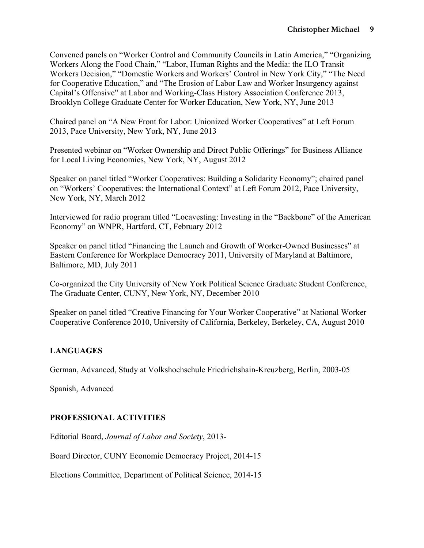Convened panels on "Worker Control and Community Councils in Latin America," "Organizing Workers Along the Food Chain," "Labor, Human Rights and the Media: the ILO Transit Workers Decision," "Domestic Workers and Workers' Control in New York City," "The Need for Cooperative Education," and "The Erosion of Labor Law and Worker Insurgency against Capital's Offensive" at Labor and Working-Class History Association Conference 2013, Brooklyn College Graduate Center for Worker Education, New York, NY, June 2013

Chaired panel on "A New Front for Labor: Unionized Worker Cooperatives" at Left Forum 2013, Pace University, New York, NY, June 2013

Presented webinar on "Worker Ownership and Direct Public Offerings" for Business Alliance for Local Living Economies, New York, NY, August 2012

Speaker on panel titled "Worker Cooperatives: Building a Solidarity Economy"; chaired panel on "Workers' Cooperatives: the International Context" at Left Forum 2012, Pace University, New York, NY, March 2012

Interviewed for radio program titled "Locavesting: Investing in the "Backbone" of the American Economy" on WNPR, Hartford, CT, February 2012

Speaker on panel titled "Financing the Launch and Growth of Worker-Owned Businesses" at Eastern Conference for Workplace Democracy 2011, University of Maryland at Baltimore, Baltimore, MD, July 2011

Co-organized the City University of New York Political Science Graduate Student Conference, The Graduate Center, CUNY, New York, NY, December 2010

Speaker on panel titled "Creative Financing for Your Worker Cooperative" at National Worker Cooperative Conference 2010, University of California, Berkeley, Berkeley, CA, August 2010

# **LANGUAGES**

German, Advanced, Study at Volkshochschule Friedrichshain-Kreuzberg, Berlin, 2003-05

Spanish, Advanced

# **PROFESSIONAL ACTIVITIES**

Editorial Board, *Journal of Labor and Society*, 2013-

Board Director, CUNY Economic Democracy Project, 2014-15

Elections Committee, Department of Political Science, 2014-15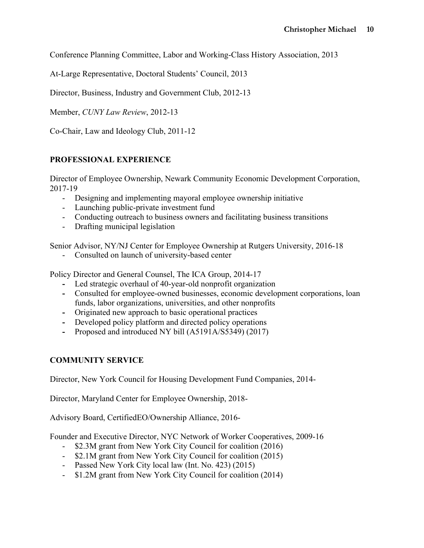Conference Planning Committee, Labor and Working-Class History Association, 2013

At-Large Representative, Doctoral Students' Council, 2013

Director, Business, Industry and Government Club, 2012-13

Member, *CUNY Law Review*, 2012-13

Co-Chair, Law and Ideology Club, 2011-12

## **PROFESSIONAL EXPERIENCE**

Director of Employee Ownership, Newark Community Economic Development Corporation, 2017-19

- Designing and implementing mayoral employee ownership initiative
- Launching public-private investment fund
- Conducting outreach to business owners and facilitating business transitions
- Drafting municipal legislation

Senior Advisor, NY/NJ Center for Employee Ownership at Rutgers University, 2016-18

- Consulted on launch of university-based center

Policy Director and General Counsel, The ICA Group, 2014-17

- **-** Led strategic overhaul of 40-year-old nonprofit organization
- **-** Consulted for employee-owned businesses, economic development corporations, loan funds, labor organizations, universities, and other nonprofits
- **-** Originated new approach to basic operational practices
- **-** Developed policy platform and directed policy operations
- **-** Proposed and introduced NY bill (A5191A/S5349) (2017)

### **COMMUNITY SERVICE**

Director, New York Council for Housing Development Fund Companies, 2014-

Director, Maryland Center for Employee Ownership, 2018-

Advisory Board, CertifiedEO/Ownership Alliance, 2016-

Founder and Executive Director, NYC Network of Worker Cooperatives, 2009-16

- \$2.3M grant from New York City Council for coalition (2016)
- \$2.1M grant from New York City Council for coalition (2015)
- Passed New York City local law (Int. No. 423) (2015)
- \$1.2M grant from New York City Council for coalition (2014)